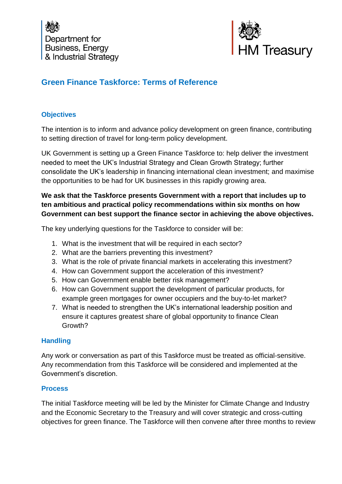



# **Green Finance Taskforce: Terms of Reference**

## **Objectives**

The intention is to inform and advance policy development on green finance, contributing to setting direction of travel for long-term policy development.

UK Government is setting up a Green Finance Taskforce to: help deliver the investment needed to meet the UK's Industrial Strategy and Clean Growth Strategy; further consolidate the UK's leadership in financing international clean investment; and maximise the opportunities to be had for UK businesses in this rapidly growing area.

## **We ask that the Taskforce presents Government with a report that includes up to ten ambitious and practical policy recommendations within six months on how Government can best support the finance sector in achieving the above objectives.**

The key underlying questions for the Taskforce to consider will be:

- 1. What is the investment that will be required in each sector?
- 2. What are the barriers preventing this investment?
- 3. What is the role of private financial markets in accelerating this investment?
- 4. How can Government support the acceleration of this investment?
- 5. How can Government enable better risk management?
- 6. How can Government support the development of particular products, for example green mortgages for owner occupiers and the buy-to-let market?
- 7. What is needed to strengthen the UK's international leadership position and ensure it captures greatest share of global opportunity to finance Clean Growth?

#### **Handling**

Any work or conversation as part of this Taskforce must be treated as official-sensitive. Any recommendation from this Taskforce will be considered and implemented at the Government's discretion.

#### **Process**

The initial Taskforce meeting will be led by the Minister for Climate Change and Industry and the Economic Secretary to the Treasury and will cover strategic and cross-cutting objectives for green finance. The Taskforce will then convene after three months to review